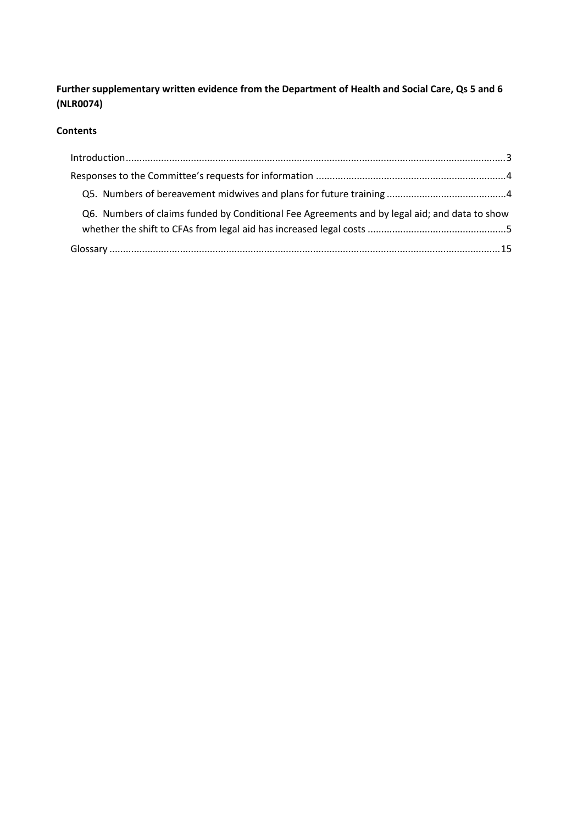**Further supplementary written evidence from the Department of Health and Social Care, Qs 5 and 6 (NLR0074)**

### **Contents**

| Q6. Numbers of claims funded by Conditional Fee Agreements and by legal aid; and data to show |  |
|-----------------------------------------------------------------------------------------------|--|
|                                                                                               |  |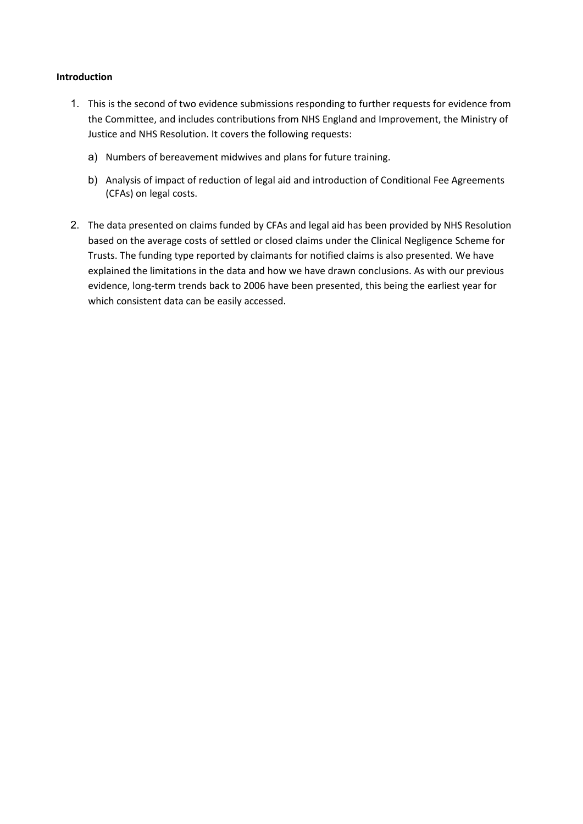#### <span id="page-1-0"></span>**Introduction**

- 1. This is the second of two evidence submissions responding to further requests for evidence from the Committee, and includes contributions from NHS England and Improvement, the Ministry of Justice and NHS Resolution. It covers the following requests:
	- a) Numbers of bereavement midwives and plans for future training.
	- b) Analysis of impact of reduction of legal aid and introduction of Conditional Fee Agreements (CFAs) on legal costs.
- 2. The data presented on claims funded by CFAs and legal aid has been provided by NHS Resolution based on the average costs of settled or closed claims under the Clinical Negligence Scheme for Trusts. The funding type reported by claimants for notified claims is also presented. We have explained the limitations in the data and how we have drawn conclusions. As with our previous evidence, long-term trends back to 2006 have been presented, this being the earliest year for which consistent data can be easily accessed.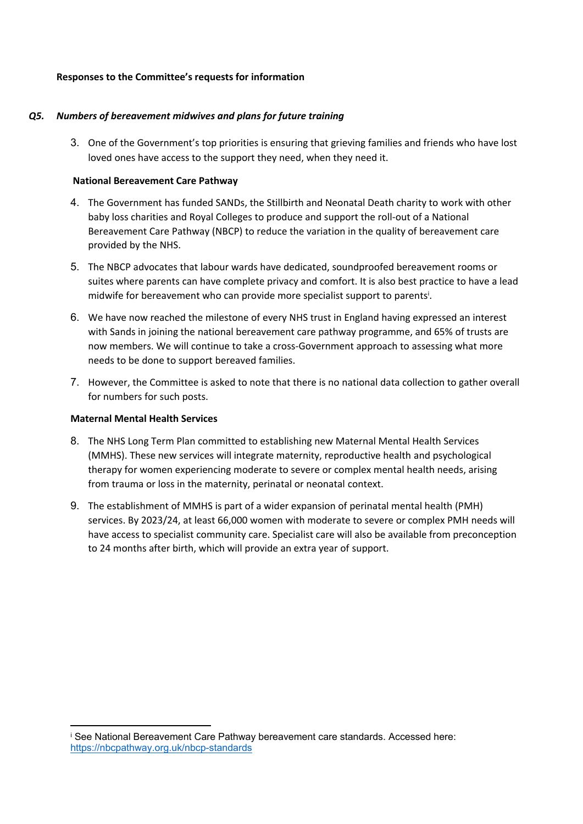#### <span id="page-2-0"></span>**Responses to the Committee's requests for information**

## <span id="page-2-1"></span>*Q5. Numbers of bereavement midwives and plans for future training*

3. One of the Government's top priorities is ensuring that grieving families and friends who have lost loved ones have access to the support they need, when they need it. 

# **National Bereavement Care Pathway**

- 4. The Government has funded SANDs, the Stillbirth and Neonatal Death charity to work with other baby loss charities and Royal Colleges to produce and support the roll-out of a National Bereavement Care Pathway (NBCP) to reduce the variation in the quality of bereavement care provided by the NHS.
- 5. The NBCP advocates that labour wards have dedicated, soundproofed bereavement rooms or suites where parents can have complete privacy and comfort. It is also best practice to have a lead midwife for bereavement who can provide more specialist support to parents<sup>i</sup> .
- 6. We have now reached the milestone of every NHS trust in England having expressed an interest with Sands in joining the national bereavement care pathway programme, and 65% of trusts are now members. We will continue to take a cross-Government approach to assessing what more needs to be done to support bereaved families.
- 7. However, the Committee is asked to note that there is no national data collection to gather overall for numbers for such posts.

## **Maternal Mental Health Services**

- 8. The NHS Long Term Plan committed to establishing new Maternal Mental Health Services (MMHS). These new services will integrate maternity, reproductive health and psychological therapy for women experiencing moderate to severe or complex mental health needs, arising from trauma or loss in the maternity, perinatal or neonatal context.
- 9. The establishment of MMHS is part of a wider expansion of perinatal mental health (PMH) services. By 2023/24, at least 66,000 women with moderate to severe or complex PMH needs will have access to specialist community care. Specialist care will also be available from preconception to 24 months after birth, which will provide an extra year of support.

<sup>i</sup> See National Bereavement Care Pathway bereavement care standards. Accessed here: <https://nbcpathway.org.uk/nbcp-standards>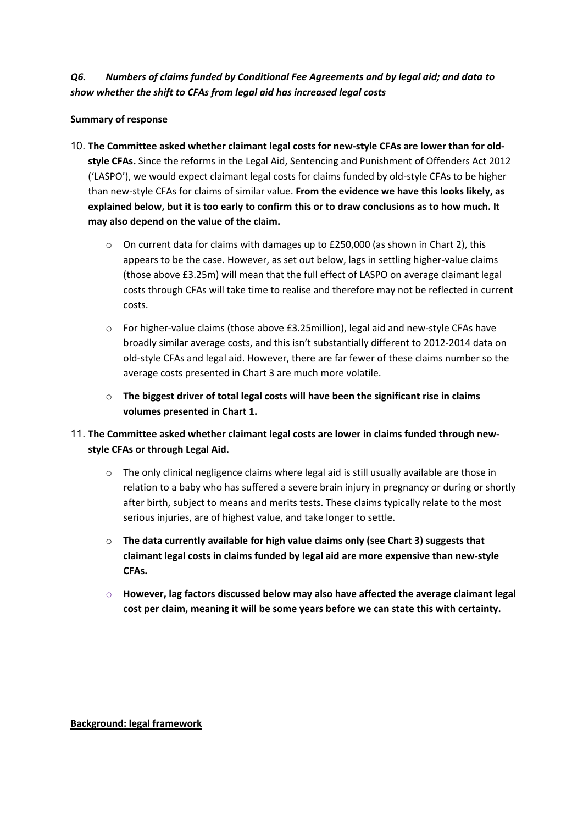## <span id="page-3-0"></span>*Q6. Numbers of claims funded by Conditional Fee Agreements and by legal aid; and data to show whether the shift to CFAs from legal aid has increased legal costs*

## **Summary of response**

- 10. **The Committee asked whether claimant legal costs for new-style CFAs are lower than for oldstyle CFAs.** Since the reforms in the Legal Aid, Sentencing and Punishment of Offenders Act 2012 ('LASPO'), we would expect claimant legal costs for claims funded by old-style CFAs to be higher than new-style CFAs for claims of similar value. **From the evidence we have this looks likely, as** explained below, but it is too early to confirm this or to draw conclusions as to how much. It **may also depend on the value of the claim.**
	- $\circ$  On current data for claims with damages up to £250,000 (as shown in Chart 2), this appears to be the case. However, as set out below, lags in settling higher-value claims (those above £3.25m) will mean that the full effect of LASPO on average claimant legal costs through CFAs will take time to realise and therefore may not be reflected in current costs.
	- o For higher-value claims (those above £3.25million), legal aid and new-style CFAs have broadly similar average costs, and this isn't substantially different to 2012-2014 data on old-style CFAs and legal aid. However, there are far fewer of these claims number so the average costs presented in Chart 3 are much more volatile.
	- o **The biggest driver of total legal costs will have been the significant rise in claims volumes presented in Chart 1.**
- 11. **The Committee asked whether claimant legal costs are lower in claims funded through newstyle CFAs or through Legal Aid.**
	- o The only clinical negligence claims where legal aid is still usually available are those in relation to a baby who has suffered a severe brain injury in pregnancy or during or shortly after birth, subject to means and merits tests. These claims typically relate to the most serious injuries, are of highest value, and take longer to settle.
	- o **The data currently available for high value claims only (see Chart 3) suggests that claimant legal costs in claims funded by legal aid are more expensive than new-style CFAs.**
	- o **However, lag factors discussed below may also have affected the average claimant legal cost per claim, meaning it will be some years before we can state this with certainty.**

**Background: legal framework**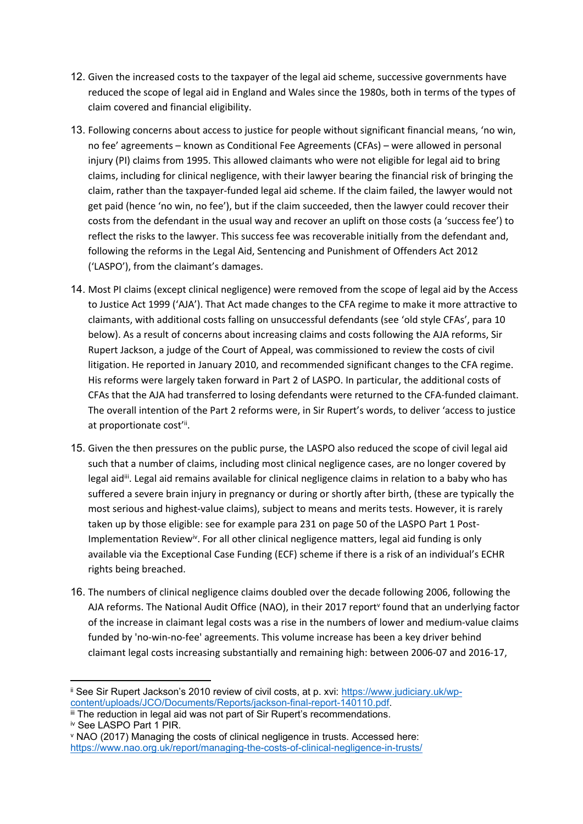- 12. Given the increased costs to the taxpayer of the legal aid scheme, successive governments have reduced the scope of legal aid in England and Wales since the 1980s, both in terms of the types of claim covered and financial eligibility.
- 13. Following concerns about access to justice for people without significant financial means, 'no win, no fee' agreements – known as Conditional Fee Agreements (CFAs) – were allowed in personal injury (PI) claims from 1995. This allowed claimants who were not eligible for legal aid to bring claims, including for clinical negligence, with their lawyer bearing the financial risk of bringing the claim, rather than the taxpayer-funded legal aid scheme. If the claim failed, the lawyer would not get paid (hence 'no win, no fee'), but if the claim succeeded, then the lawyer could recover their costs from the defendant in the usual way and recover an uplift on those costs (a 'success fee') to reflect the risks to the lawyer. This success fee was recoverable initially from the defendant and, following the reforms in the Legal Aid, Sentencing and Punishment of Offenders Act 2012 ('LASPO'), from the claimant's damages.
- 14. Most PI claims (except clinical negligence) were removed from the scope of legal aid by the Access to Justice Act 1999 ('AJA'). That Act made changes to the CFA regime to make it more attractive to claimants, with additional costs falling on unsuccessful defendants (see 'old style CFAs', para 10 below). As a result of concerns about increasing claims and costs following the AJA reforms, Sir Rupert Jackson, a judge of the Court of Appeal, was commissioned to review the costs of civil litigation. He reported in January 2010, and recommended significant changes to the CFA regime. His reforms were largely taken forward in Part 2 of LASPO. In particular, the additional costs of CFAs that the AJA had transferred to losing defendants were returned to the CFA-funded claimant. The overall intention of the Part 2 reforms were, in Sir Rupert's words, to deliver 'access to justice at proportionate cost'i.
- 15. Given the then pressures on the public purse, the LASPO also reduced the scope of civil legal aid such that a number of claims, including most clinical negligence cases, are no longer covered by legal aid<sup>iii</sup>. Legal aid remains available for clinical negligence claims in relation to a baby who has suffered a severe brain injury in pregnancy or during or shortly after birth, (these are typically the most serious and highest-value claims), subject to means and merits tests. However, it is rarely taken up by those eligible: see for example para 231 on page 50 of the LASPO Part 1 Post-Implementation Review<sup>iv</sup>. For all other clinical negligence matters, legal aid funding is only available via the Exceptional Case Funding (ECF) scheme if there is a risk of an individual's ECHR rights being breached.
- 16. The numbers of clinical negligence claims doubled over the decade following 2006, following the AJA reforms. The National Audit Office (NAO), in their 2017 report<sup>v</sup> found that an underlying factor of the increase in claimant legal costs was a rise in the numbers of lower and medium-value claims funded by 'no-win-no-fee' agreements. This volume increase has been a key driver behind claimant legal costs increasing substantially and remaining high: between 2006-07 and 2016-17,

ii See Sir Rupert Jackson's 2010 review of civil costs, at p. xvi: [https://www.judiciary.uk/wp](https://www.judiciary.uk/wp-content/uploads/JCO/Documents/Reports/jackson-final-report-140110.pdf)[content/uploads/JCO/Documents/Reports/jackson-final-report-140110.pdf.](https://www.judiciary.uk/wp-content/uploads/JCO/Documents/Reports/jackson-final-report-140110.pdf)

III The reduction in legal aid was not part of Sir Rupert's recommendations. iv See LASPO Part 1 PIR.

<sup>v</sup> NAO (2017) Managing the costs of clinical negligence in trusts. Accessed here: <https://www.nao.org.uk/report/managing-the-costs-of-clinical-negligence-in-trusts/>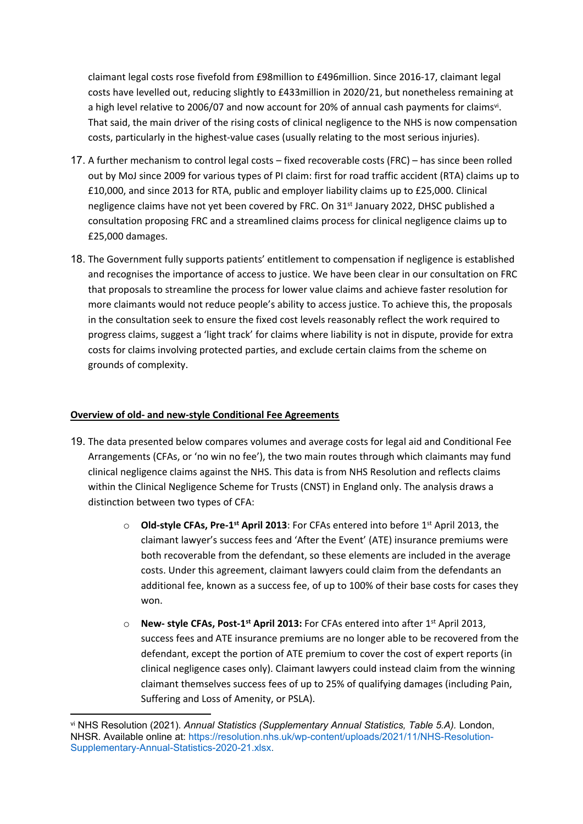claimant legal costs rose fivefold from £98million to £496million. Since 2016-17, claimant legal costs have levelled out, reducing slightly to £433million in 2020/21, but nonetheless remaining at a high level relative to 2006/07 and now account for 20% of annual cash payments for claims<sup>vi</sup>. That said, the main driver of the rising costs of clinical negligence to the NHS is now compensation costs, particularly in the highest-value cases (usually relating to the most serious injuries).

- 17. A further mechanism to control legal costs fixed recoverable costs (FRC) has since been rolled out by MoJ since 2009 for various types of PI claim: first for road traffic accident (RTA) claims up to £10,000, and since 2013 for RTA, public and employer liability claims up to £25,000. Clinical negligence claims have not yet been covered by FRC. On 31<sup>st</sup> January 2022, DHSC published a consultation proposing FRC and a streamlined claims process for clinical negligence claims up to £25,000 damages.
- 18. The Government fully supports patients' entitlement to compensation if negligence is established and recognises the importance of access to justice. We have been clear in our consultation on FRC that proposals to streamline the process for lower value claims and achieve faster resolution for more claimants would not reduce people's ability to access justice. To achieve this, the proposals in the consultation seek to ensure the fixed cost levels reasonably reflect the work required to progress claims, suggest a 'light track' for claims where liability is not in dispute, provide for extra costs for claims involving protected parties, and exclude certain claims from the scheme on grounds of complexity.

## **Overview of old- and new-style Conditional Fee Agreements**

- 19. The data presented below compares volumes and average costs for legal aid and Conditional Fee Arrangements (CFAs, or 'no win no fee'), the two main routes through which claimants may fund clinical negligence claims against the NHS. This data is from NHS Resolution and reflects claims within the Clinical Negligence Scheme for Trusts (CNST) in England only. The analysis draws a distinction between two types of CFA:
	- o **Old-style CFAs, Pre-1st April 2013**: For CFAs entered into before 1 st April 2013, the claimant lawyer's success fees and 'After the Event' (ATE) insurance premiums were both recoverable from the defendant, so these elements are included in the average costs. Under this agreement, claimant lawyers could claim from the defendants an additional fee, known as a success fee, of up to 100% of their base costs for cases they won.
	- o **New- style CFAs, Post-1st April 2013:** For CFAs entered into after 1 st April 2013, success fees and ATE insurance premiums are no longer able to be recovered from the defendant, except the portion of ATE premium to cover the cost of expert reports (in clinical negligence cases only). Claimant lawyers could instead claim from the winning claimant themselves success fees of up to 25% of qualifying damages (including Pain, Suffering and Loss of Amenity, or PSLA).

vi NHS Resolution (2021). *Annual Statistics (Supplementary Annual Statistics, Table 5.A).* London, NHSR. Available online at: https://resolution.nhs.uk/wp-content/uploads/2021/11/NHS-Resolution-Supplementary-Annual-Statistics-2020-21.xlsx.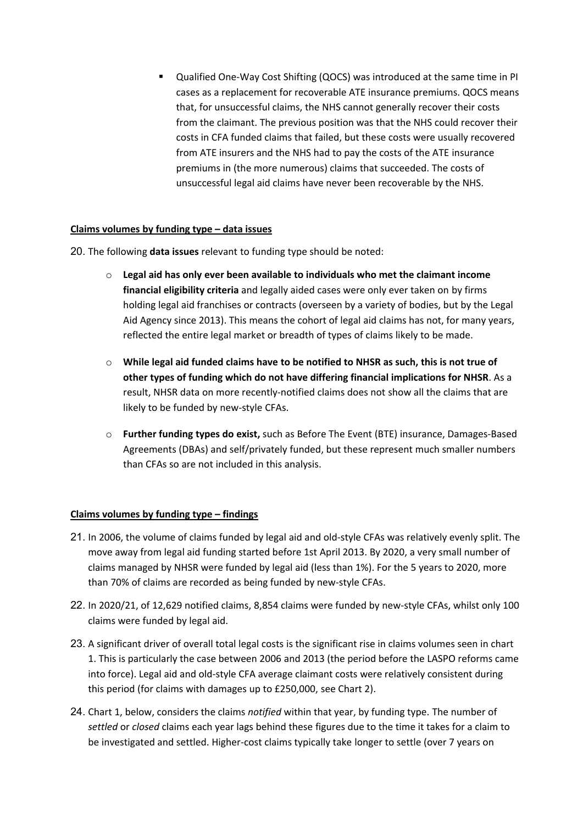Qualified One-Way Cost Shifting (QOCS) was introduced at the same time in PI cases as a replacement for recoverable ATE insurance premiums. QOCS means that, for unsuccessful claims, the NHS cannot generally recover their costs from the claimant. The previous position was that the NHS could recover their costs in CFA funded claims that failed, but these costs were usually recovered from ATE insurers and the NHS had to pay the costs of the ATE insurance premiums in (the more numerous) claims that succeeded. The costs of unsuccessful legal aid claims have never been recoverable by the NHS.

## **Claims volumes by funding type – data issues**

- 20. The following **data issues** relevant to funding type should be noted:
	- o **Legal aid has only ever been available to individuals who met the claimant income financial eligibility criteria** and legally aided cases were only ever taken on by firms holding legal aid franchises or contracts (overseen by a variety of bodies, but by the Legal Aid Agency since 2013). This means the cohort of legal aid claims has not, for many years, reflected the entire legal market or breadth of types of claims likely to be made.
	- o **While legal aid funded claims have to be notified to NHSR as such, this is not true of other types of funding which do not have differing financial implications for NHSR**. As a result, NHSR data on more recently-notified claims does not show all the claims that are likely to be funded by new-style CFAs.
	- o **Further funding types do exist,** such as Before The Event (BTE) insurance, Damages-Based Agreements (DBAs) and self/privately funded, but these represent much smaller numbers than CFAs so are not included in this analysis.

#### **Claims volumes by funding type – findings**

- 21. In 2006, the volume of claims funded by legal aid and old-style CFAs was relatively evenly split. The move away from legal aid funding started before 1st April 2013. By 2020, a very small number of claims managed by NHSR were funded by legal aid (less than 1%). For the 5 years to 2020, more than 70% of claims are recorded as being funded by new-style CFAs.
- 22. In 2020/21, of 12,629 notified claims, 8,854 claims were funded by new-style CFAs, whilst only 100 claims were funded by legal aid.
- 23. A significant driver of overall total legal costs is the significant rise in claims volumes seen in chart 1. This is particularly the case between 2006 and 2013 (the period before the LASPO reforms came into force). Legal aid and old-style CFA average claimant costs were relatively consistent during this period (for claims with damages up to £250,000, see Chart 2).
- 24. Chart 1, below, considers the claims *notified* within that year, by funding type. The number of *settled* or *closed* claims each year lags behind these figures due to the time it takes for a claim to be investigated and settled. Higher-cost claims typically take longer to settle (over 7 years on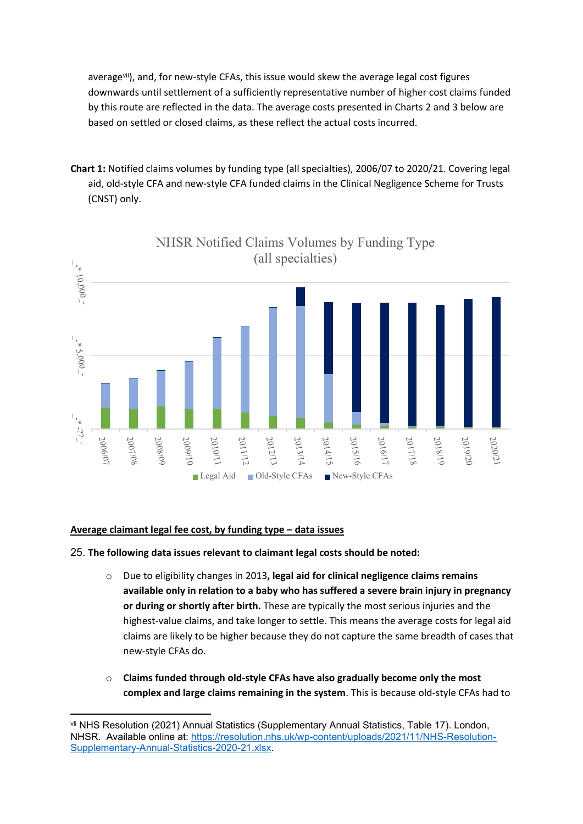averagevii), and, for new-style CFAs, this issue would skew the average legal cost figures downwards until settlement of a sufficiently representative number of higher cost claims funded by this route are reflected in the data. The average costs presented in Charts 2 and 3 below are based on settled or closed claims, as these reflect the actual costs incurred.

**Chart 1:** Notified claims volumes by funding type (all specialties), 2006/07 to 2020/21. Covering legal aid, old-style CFA and new-style CFA funded claims in the Clinical Negligence Scheme for Trusts (CNST) only.



**Average claimant legal fee cost, by funding type – data issues**

#### 25. **The following data issues relevant to claimant legal costs should be noted:**

- o Due to eligibility changes in 2013**, legal aid for clinical negligence claims remains available only in relation to a baby who has suffered a severe brain injury in pregnancy or during or shortly after birth.** These are typically the most serious injuries and the highest-value claims, and take longer to settle. This means the average costs for legal aid claims are likely to be higher because they do not capture the same breadth of cases that new-style CFAs do.
- o **Claims funded through old-style CFAs have also gradually become only the most complex and large claims remaining in the system**. This is because old-style CFAs had to

vii NHS Resolution (2021) Annual Statistics (Supplementary Annual Statistics, Table 17). London, NHSR. Available online at: [https://resolution.nhs.uk/wp-content/uploads/2021/11/NHS-Resolution-](https://resolution.nhs.uk/wp-content/uploads/2021/11/NHS-Resolution-Supplementary-Annual-Statistics-2020-21.xlsx)[Supplementary-Annual-Statistics-2020-21.xlsx.](https://resolution.nhs.uk/wp-content/uploads/2021/11/NHS-Resolution-Supplementary-Annual-Statistics-2020-21.xlsx)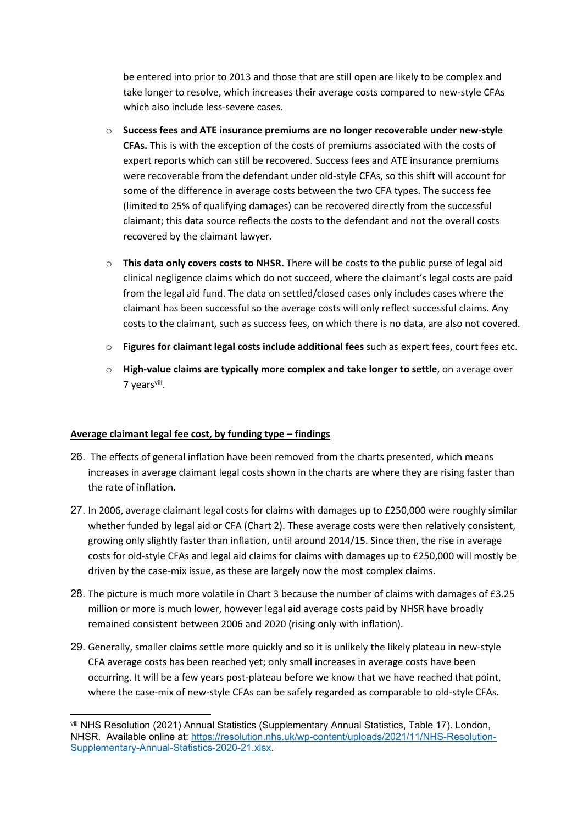be entered into prior to 2013 and those that are still open are likely to be complex and take longer to resolve, which increases their average costs compared to new-style CFAs which also include less-severe cases.

- o **Success fees and ATE insurance premiums are no longer recoverable under new-style CFAs.** This is with the exception of the costs of premiums associated with the costs of expert reports which can still be recovered. Success fees and ATE insurance premiums were recoverable from the defendant under old-style CFAs, so this shift will account for some of the difference in average costs between the two CFA types. The success fee (limited to 25% of qualifying damages) can be recovered directly from the successful claimant; this data source reflects the costs to the defendant and not the overall costs recovered by the claimant lawyer.
- o **This data only covers costs to NHSR.** There will be costs to the public purse of legal aid clinical negligence claims which do not succeed, where the claimant's legal costs are paid from the legal aid fund. The data on settled/closed cases only includes cases where the claimant has been successful so the average costs will only reflect successful claims. Any costs to the claimant, such as success fees, on which there is no data, are also not covered.
- o **Figures for claimant legal costs include additional fees** such as expert fees, court fees etc.
- o **High-value claims are typically more complex and take longer to settle**, on average over 7 yearsviii.

#### **Average claimant legal fee cost, by funding type – findings**

- 26. The effects of general inflation have been removed from the charts presented, which means increases in average claimant legal costs shown in the charts are where they are rising faster than the rate of inflation.
- 27. In 2006, average claimant legal costs for claims with damages up to £250,000 were roughly similar whether funded by legal aid or CFA (Chart 2). These average costs were then relatively consistent, growing only slightly faster than inflation, until around 2014/15. Since then, the rise in average costs for old-style CFAs and legal aid claims for claims with damages up to £250,000 will mostly be driven by the case-mix issue, as these are largely now the most complex claims.
- 28. The picture is much more volatile in Chart 3 because the number of claims with damages of £3.25 million or more is much lower, however legal aid average costs paid by NHSR have broadly remained consistent between 2006 and 2020 (rising only with inflation).
- 29. Generally, smaller claims settle more quickly and so it is unlikely the likely plateau in new-style CFA average costs has been reached yet; only small increases in average costs have been occurring. It will be a few years post-plateau before we know that we have reached that point, where the case-mix of new-style CFAs can be safely regarded as comparable to old-style CFAs.

viii NHS Resolution (2021) Annual Statistics (Supplementary Annual Statistics, Table 17). London, NHSR. Available online at: [https://resolution.nhs.uk/wp-content/uploads/2021/11/NHS-Resolution-](https://resolution.nhs.uk/wp-content/uploads/2021/11/NHS-Resolution-Supplementary-Annual-Statistics-2020-21.xlsx)[Supplementary-Annual-Statistics-2020-21.xlsx.](https://resolution.nhs.uk/wp-content/uploads/2021/11/NHS-Resolution-Supplementary-Annual-Statistics-2020-21.xlsx)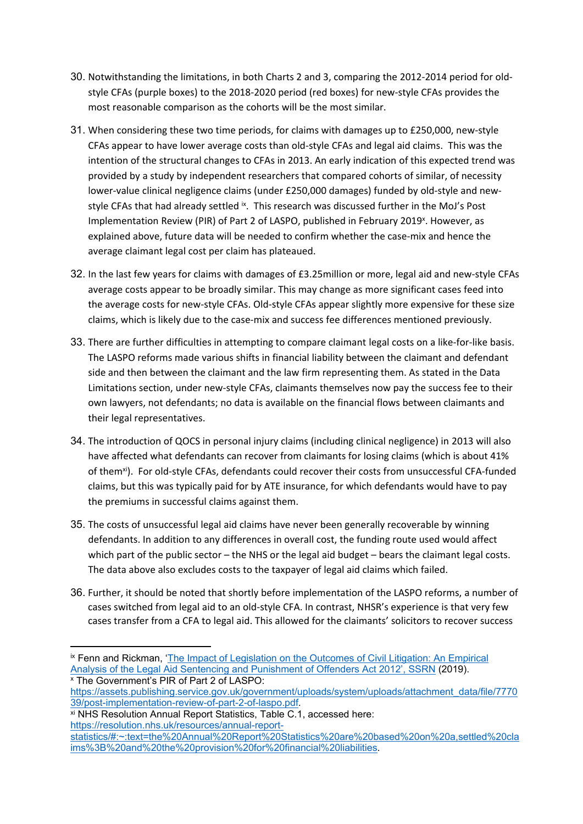- 30. Notwithstanding the limitations, in both Charts 2 and 3, comparing the 2012-2014 period for oldstyle CFAs (purple boxes) to the 2018-2020 period (red boxes) for new-style CFAs provides the most reasonable comparison as the cohorts will be the most similar.
- 31. When considering these two time periods, for claims with damages up to £250,000, new-style CFAs appear to have lower average costs than old-style CFAs and legal aid claims. This was the intention of the structural changes to CFAs in 2013. An early indication of this expected trend was provided by a study by independent researchers that compared cohorts of similar, of necessity lower-value clinical negligence claims (under £250,000 damages) funded by old-style and newstyle CFAs that had already settled ix. This research was discussed further in the MoJ's Post Implementation Review (PIR) of Part 2 of LASPO, published in February 2019<sup>x</sup>. However, as explained above, future data will be needed to confirm whether the case-mix and hence the average claimant legal cost per claim has plateaued.
- 32. In the last few years for claims with damages of £3.25million or more, legal aid and new-style CFAs average costs appear to be broadly similar. This may change as more significant cases feed into the average costs for new-style CFAs. Old-style CFAs appear slightly more expensive for these size claims, which is likely due to the case-mix and success fee differences mentioned previously.
- 33. There are further difficulties in attempting to compare claimant legal costs on a like-for-like basis. The LASPO reforms made various shifts in financial liability between the claimant and defendant side and then between the claimant and the law firm representing them. As stated in the Data Limitations section, under new-style CFAs, claimants themselves now pay the success fee to their own lawyers, not defendants; no data is available on the financial flows between claimants and their legal representatives.
- 34. The introduction of QOCS in personal injury claims (including clinical negligence) in 2013 will also have affected what defendants can recover from claimants for losing claims (which is about 41% of them<sup>xi</sup>). For old-style CFAs, defendants could recover their costs from unsuccessful CFA-funded claims, but this was typically paid for by ATE insurance, for which defendants would have to pay the premiums in successful claims against them.
- 35. The costs of unsuccessful legal aid claims have never been generally recoverable by winning defendants. In addition to any differences in overall cost, the funding route used would affect which part of the public sector – the NHS or the legal aid budget – bears the claimant legal costs. The data above also excludes costs to the taxpayer of legal aid claims which failed.
- 36. Further, it should be noted that shortly before implementation of the LASPO reforms, a number of cases switched from legal aid to an old-style CFA. In contrast, NHSR's experience is that very few cases transfer from a CFA to legal aid. This allowed for the claimants' solicitors to recover success

<sup>x</sup> The Government's PIR of Part 2 of LASPO:

ix Fenn and Rickman, ['The](https://papers.ssrn.com/sol3/papers.cfm?abstract_id=3326665) [Impact](https://papers.ssrn.com/sol3/papers.cfm?abstract_id=3326665) [of](https://papers.ssrn.com/sol3/papers.cfm?abstract_id=3326665) [Legislation](https://papers.ssrn.com/sol3/papers.cfm?abstract_id=3326665) [on](https://papers.ssrn.com/sol3/papers.cfm?abstract_id=3326665) [the](https://papers.ssrn.com/sol3/papers.cfm?abstract_id=3326665) [Outcomes](https://papers.ssrn.com/sol3/papers.cfm?abstract_id=3326665) [of](https://papers.ssrn.com/sol3/papers.cfm?abstract_id=3326665) [Civil](https://papers.ssrn.com/sol3/papers.cfm?abstract_id=3326665) [Litigation:](https://papers.ssrn.com/sol3/papers.cfm?abstract_id=3326665) [An](https://papers.ssrn.com/sol3/papers.cfm?abstract_id=3326665) [Empirical](https://papers.ssrn.com/sol3/papers.cfm?abstract_id=3326665) [Analysis](https://papers.ssrn.com/sol3/papers.cfm?abstract_id=3326665) [of](https://papers.ssrn.com/sol3/papers.cfm?abstract_id=3326665) [the](https://papers.ssrn.com/sol3/papers.cfm?abstract_id=3326665) [Legal](https://papers.ssrn.com/sol3/papers.cfm?abstract_id=3326665) [Aid](https://papers.ssrn.com/sol3/papers.cfm?abstract_id=3326665) [Sentencing](https://papers.ssrn.com/sol3/papers.cfm?abstract_id=3326665) [and](https://papers.ssrn.com/sol3/papers.cfm?abstract_id=3326665) [Punishment](https://papers.ssrn.com/sol3/papers.cfm?abstract_id=3326665) [of](https://papers.ssrn.com/sol3/papers.cfm?abstract_id=3326665) [Offenders](https://papers.ssrn.com/sol3/papers.cfm?abstract_id=3326665) [Act](https://papers.ssrn.com/sol3/papers.cfm?abstract_id=3326665) [2012',](https://papers.ssrn.com/sol3/papers.cfm?abstract_id=3326665) [SSRN](https://papers.ssrn.com/sol3/papers.cfm?abstract_id=3326665) (2019).

[https://assets.publishing.service.gov.uk/government/uploads/system/uploads/attachment\\_data/file/7770](https://assets.publishing.service.gov.uk/government/uploads/system/uploads/attachment_data/file/777039/post-implementation-review-of-part-2-of-laspo.pdf) [39/post-implementation-review-of-part-2-of-laspo.pdf.](https://assets.publishing.service.gov.uk/government/uploads/system/uploads/attachment_data/file/777039/post-implementation-review-of-part-2-of-laspo.pdf)

xi NHS Resolution Annual Report Statistics, Table C.1, accessed here: [https://resolution.nhs.uk/resources/annual-report-](https://resolution.nhs.uk/resources/annual-report-statistics/#:~:text=the%20Annual%20Report%20Statistics%20are%20based%20on%20a,settled%20claims%3B%20and%20the%20provision%20for%20financial%20liabilities)

[statistics/#:~:text=the%20Annual%20Report%20Statistics%20are%20based%20on%20a,settled%20cla](https://resolution.nhs.uk/resources/annual-report-statistics/#:~:text=the%20Annual%20Report%20Statistics%20are%20based%20on%20a,settled%20claims%3B%20and%20the%20provision%20for%20financial%20liabilities) [ims%3B%20and%20the%20provision%20for%20financial%20liabilities.](https://resolution.nhs.uk/resources/annual-report-statistics/#:~:text=the%20Annual%20Report%20Statistics%20are%20based%20on%20a,settled%20claims%3B%20and%20the%20provision%20for%20financial%20liabilities)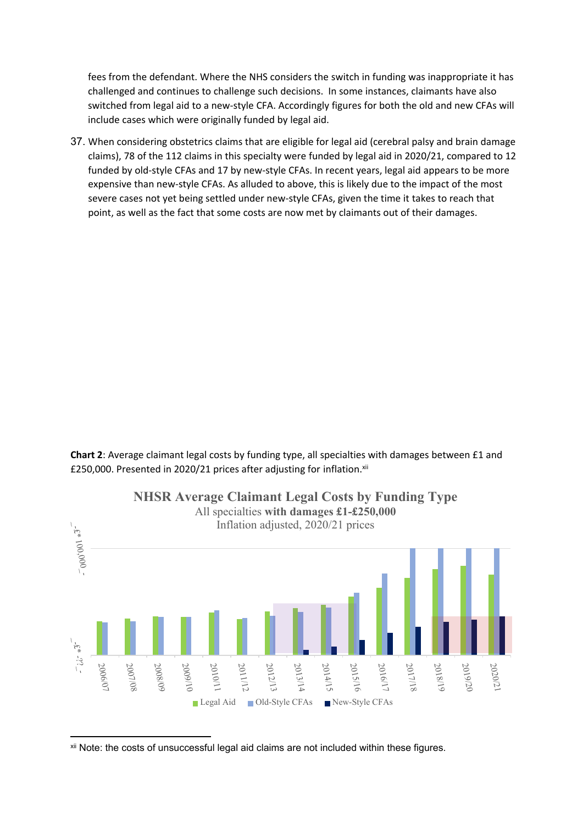fees from the defendant. Where the NHS considers the switch in funding was inappropriate it has challenged and continues to challenge such decisions. In some instances, claimants have also switched from legal aid to a new-style CFA. Accordingly figures for both the old and new CFAs will include cases which were originally funded by legal aid.

37. When considering obstetrics claims that are eligible for legal aid (cerebral palsy and brain damage claims), 78 of the 112 claims in this specialty were funded by legal aid in 2020/21, compared to 12 funded by old-style CFAs and 17 by new-style CFAs. In recent years, legal aid appears to be more expensive than new-style CFAs. As alluded to above, this is likely due to the impact of the most severe cases not yet being settled under new-style CFAs, given the time it takes to reach that point, as well as the fact that some costs are now met by claimants out of their damages.

**Chart 2**: Average claimant legal costs by funding type, all specialties with damages between £1 and £250,000. Presented in 2020/21 prices after adjusting for inflation.<sup>xii</sup>



xii Note: the costs of unsuccessful legal aid claims are not included within these figures.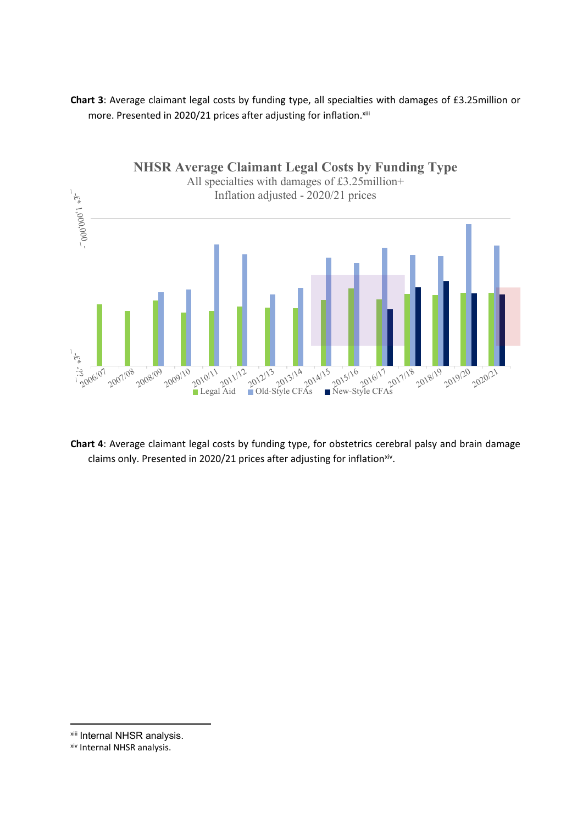**Chart 3**: Average claimant legal costs by funding type, all specialties with damages of £3.25million or more. Presented in 2020/21 prices after adjusting for inflation.xiii



**Chart 4**: Average claimant legal costs by funding type, for obstetrics cerebral palsy and brain damage claims only. Presented in 2020/21 prices after adjusting for inflation<sup>xiv</sup>.

xiii Internal NHSR analysis.

xiv Internal NHSR analysis.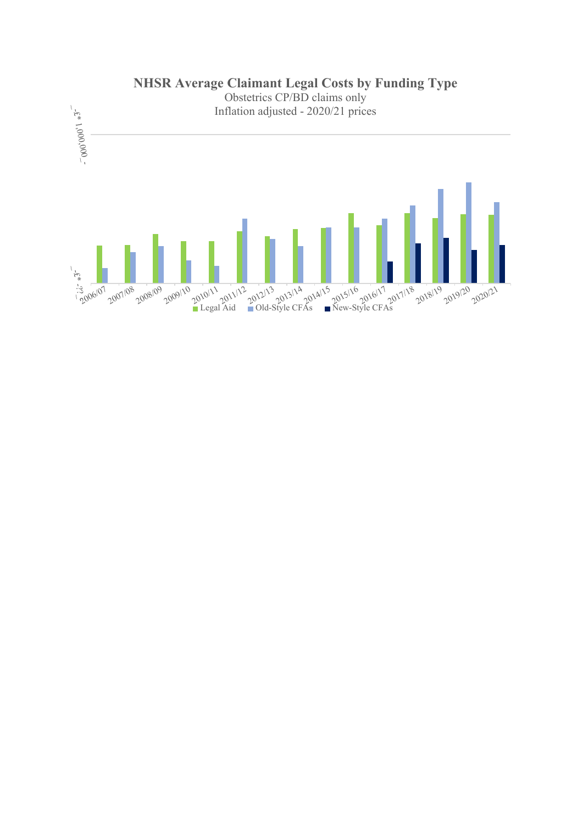

**NHSR Average Claimant Legal Costs by Funding Type**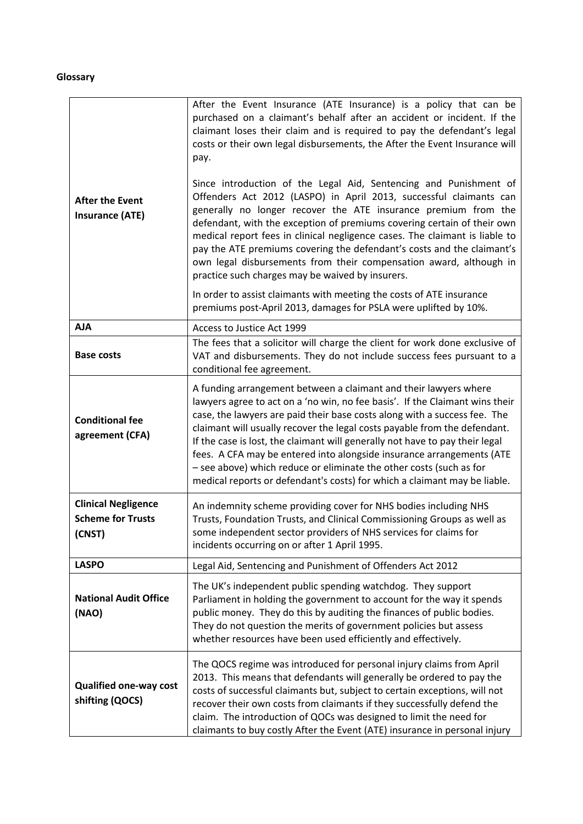### <span id="page-13-0"></span>**Glossary**

| <b>After the Event</b><br><b>Insurance (ATE)</b>                 | After the Event Insurance (ATE Insurance) is a policy that can be<br>purchased on a claimant's behalf after an accident or incident. If the<br>claimant loses their claim and is required to pay the defendant's legal<br>costs or their own legal disbursements, the After the Event Insurance will<br>pay.<br>Since introduction of the Legal Aid, Sentencing and Punishment of<br>Offenders Act 2012 (LASPO) in April 2013, successful claimants can<br>generally no longer recover the ATE insurance premium from the<br>defendant, with the exception of premiums covering certain of their own<br>medical report fees in clinical negligence cases. The claimant is liable to<br>pay the ATE premiums covering the defendant's costs and the claimant's<br>own legal disbursements from their compensation award, although in<br>practice such charges may be waived by insurers.<br>In order to assist claimants with meeting the costs of ATE insurance |
|------------------------------------------------------------------|-----------------------------------------------------------------------------------------------------------------------------------------------------------------------------------------------------------------------------------------------------------------------------------------------------------------------------------------------------------------------------------------------------------------------------------------------------------------------------------------------------------------------------------------------------------------------------------------------------------------------------------------------------------------------------------------------------------------------------------------------------------------------------------------------------------------------------------------------------------------------------------------------------------------------------------------------------------------|
|                                                                  | premiums post-April 2013, damages for PSLA were uplifted by 10%.                                                                                                                                                                                                                                                                                                                                                                                                                                                                                                                                                                                                                                                                                                                                                                                                                                                                                                |
| <b>AJA</b>                                                       | Access to Justice Act 1999                                                                                                                                                                                                                                                                                                                                                                                                                                                                                                                                                                                                                                                                                                                                                                                                                                                                                                                                      |
| <b>Base costs</b>                                                | The fees that a solicitor will charge the client for work done exclusive of<br>VAT and disbursements. They do not include success fees pursuant to a<br>conditional fee agreement.                                                                                                                                                                                                                                                                                                                                                                                                                                                                                                                                                                                                                                                                                                                                                                              |
| <b>Conditional fee</b><br>agreement (CFA)                        | A funding arrangement between a claimant and their lawyers where<br>lawyers agree to act on a 'no win, no fee basis'. If the Claimant wins their<br>case, the lawyers are paid their base costs along with a success fee. The<br>claimant will usually recover the legal costs payable from the defendant.<br>If the case is lost, the claimant will generally not have to pay their legal<br>fees. A CFA may be entered into alongside insurance arrangements (ATE<br>- see above) which reduce or eliminate the other costs (such as for<br>medical reports or defendant's costs) for which a claimant may be liable.                                                                                                                                                                                                                                                                                                                                         |
| <b>Clinical Negligence</b><br><b>Scheme for Trusts</b><br>(CNST) | An indemnity scheme providing cover for NHS bodies including NHS<br>Trusts, Foundation Trusts, and Clinical Commissioning Groups as well as<br>some independent sector providers of NHS services for claims for<br>incidents occurring on or after 1 April 1995.                                                                                                                                                                                                                                                                                                                                                                                                                                                                                                                                                                                                                                                                                                |
| <b>LASPO</b>                                                     | Legal Aid, Sentencing and Punishment of Offenders Act 2012                                                                                                                                                                                                                                                                                                                                                                                                                                                                                                                                                                                                                                                                                                                                                                                                                                                                                                      |
| <b>National Audit Office</b><br>(NAO)                            | The UK's independent public spending watchdog. They support<br>Parliament in holding the government to account for the way it spends<br>public money. They do this by auditing the finances of public bodies.<br>They do not question the merits of government policies but assess<br>whether resources have been used efficiently and effectively.                                                                                                                                                                                                                                                                                                                                                                                                                                                                                                                                                                                                             |
| <b>Qualified one-way cost</b><br>shifting (QOCS)                 | The QOCS regime was introduced for personal injury claims from April<br>2013. This means that defendants will generally be ordered to pay the<br>costs of successful claimants but, subject to certain exceptions, will not<br>recover their own costs from claimants if they successfully defend the<br>claim. The introduction of QOCs was designed to limit the need for<br>claimants to buy costly After the Event (ATE) insurance in personal injury                                                                                                                                                                                                                                                                                                                                                                                                                                                                                                       |